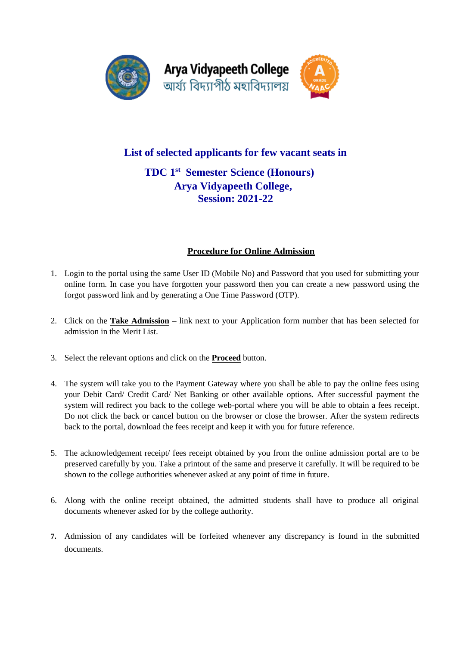

## **List of selected applicants for few vacant seats in**

## **TDC 1st Semester Science (Honours) Arya Vidyapeeth College, Session: 2021-22**

#### **Procedure for Online Admission**

- 1. Login to the portal using the same User ID (Mobile No) and Password that you used for submitting your online form. In case you have forgotten your password then you can create a new password using the forgot password link and by generating a One Time Password (OTP).
- 2. Click on the **Take Admission** link next to your Application form number that has been selected for admission in the Merit List.
- 3. Select the relevant options and click on the **Proceed** button.
- 4. The system will take you to the Payment Gateway where you shall be able to pay the online fees using your Debit Card/ Credit Card/ Net Banking or other available options. After successful payment the system will redirect you back to the college web-portal where you will be able to obtain a fees receipt. Do not click the back or cancel button on the browser or close the browser. After the system redirects back to the portal, download the fees receipt and keep it with you for future reference.
- 5. The acknowledgement receipt/ fees receipt obtained by you from the online admission portal are to be preserved carefully by you. Take a printout of the same and preserve it carefully. It will be required to be shown to the college authorities whenever asked at any point of time in future.
- 6. Along with the online receipt obtained, the admitted students shall have to produce all original documents whenever asked for by the college authority.
- **7.** Admission of any candidates will be forfeited whenever any discrepancy is found in the submitted documents.